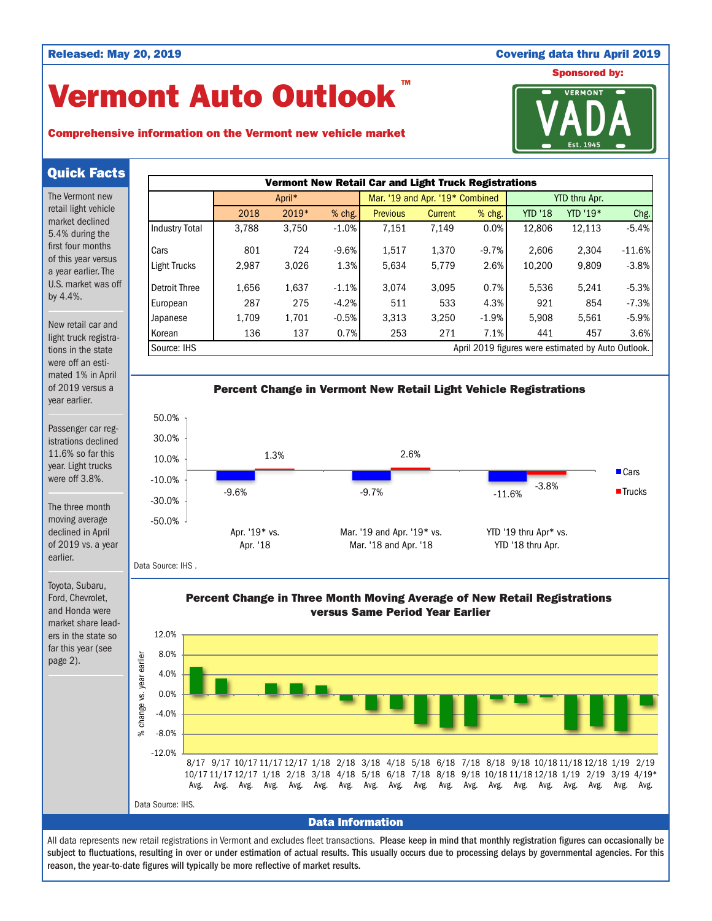## Released: May 20, 2019 Covering data thru April 2019

# Vermont Auto Outlook TM

## Comprehensive information on the Vermont new vehicle market



Quick Facts

The Vermont new retail light vehicle market declined 5.4% during the first four months of this year versus a year earlier. The U.S. market was off by 4.4%.

New retail car and light truck registrations in the state were off an estimated 1% in April of 2019 versus a year earlier.

Passenger car registrations declined 11.6% so far this year. Light trucks were off 3.8%.

The three month moving average declined in April of 2019 vs. a year earlier.

Toyota, Subaru, Ford, Chevrolet, and Honda were market share leaders in the state so far this year (see page 2).





Percent Change in Three Month Moving Average of New Retail Registrations versus Same Period Year Earlier



Data Information

All data represents new retail registrations in Vermont and excludes fleet transactions. Please keep in mind that monthly registration figures can occasionally be subject to fluctuations, resulting in over or under estimation of actual results. This usually occurs due to processing delays by governmental agencies. For this reason, the year-to-date figures will typically be more reflective of market results.